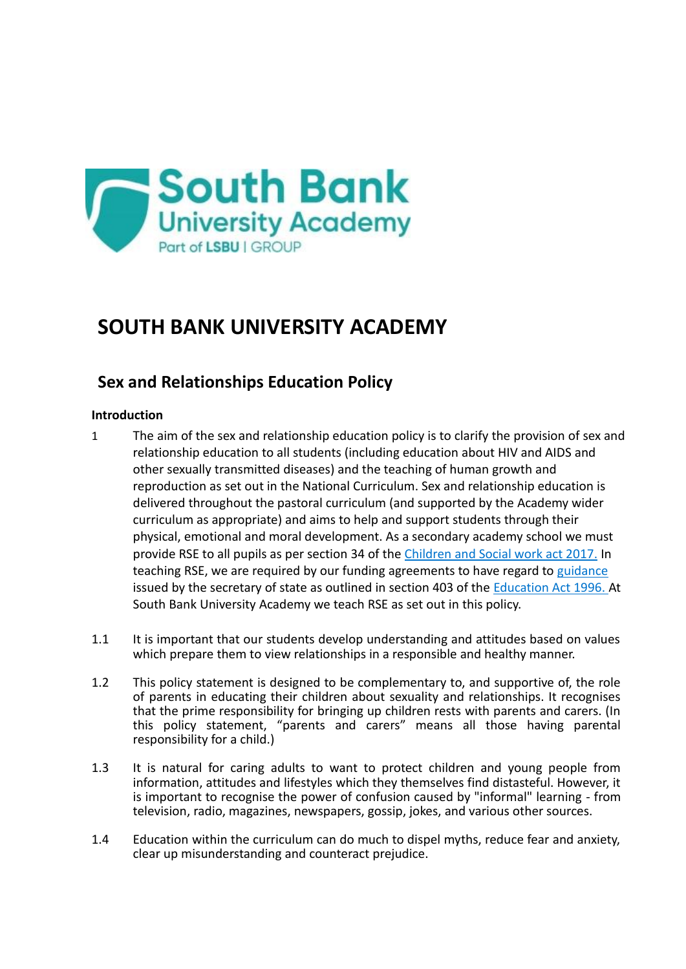

# **SOUTH BANK UNIVERSITY ACADEMY**

# **Sex and Relationships Education Policy**

# **Introduction**

- 1 The aim of the sex and relationship education policy is to clarify the provision of sex and relationship education to all students (including education about HIV and AIDS and other sexually transmitted diseases) and the teaching of human growth and reproduction as set out in the National Curriculum. Sex and relationship education is delivered throughout the pastoral curriculum (and supported by the Academy wider curriculum as appropriate) and aims to help and support students through their physical, emotional and moral development. As a secondary academy school we must provide RSE to all pupils as per section 34 of the [Children and Social work act 2017.](http://www.legislation.gov.uk/ukpga/2017/16/section/34/enacted) In teaching RSE, we are required by our funding agreements to have regard to [guidance](https://www.gov.uk/government/consultations/relationships-and-sex-education-and-health-education) issued by the secretary of state as outlined in section 403 of the [Education Act 1996.](http://www.legislation.gov.uk/ukpga/1996/56/contents) At South Bank University Academy we teach RSE as set out in this policy.
- 1.1 It is important that our students develop understanding and attitudes based on values which prepare them to view relationships in a responsible and healthy manner.
- 1.2 This policy statement is designed to be complementary to, and supportive of, the role of parents in educating their children about sexuality and relationships. It recognises that the prime responsibility for bringing up children rests with parents and carers. (In this policy statement, "parents and carers" means all those having parental responsibility for a child.)
- 1.3 It is natural for caring adults to want to protect children and young people from information, attitudes and lifestyles which they themselves find distasteful. However, it is important to recognise the power of confusion caused by "informal" learning - from television, radio, magazines, newspapers, gossip, jokes, and various other sources.
- 1.4 Education within the curriculum can do much to dispel myths, reduce fear and anxiety, clear up misunderstanding and counteract prejudice.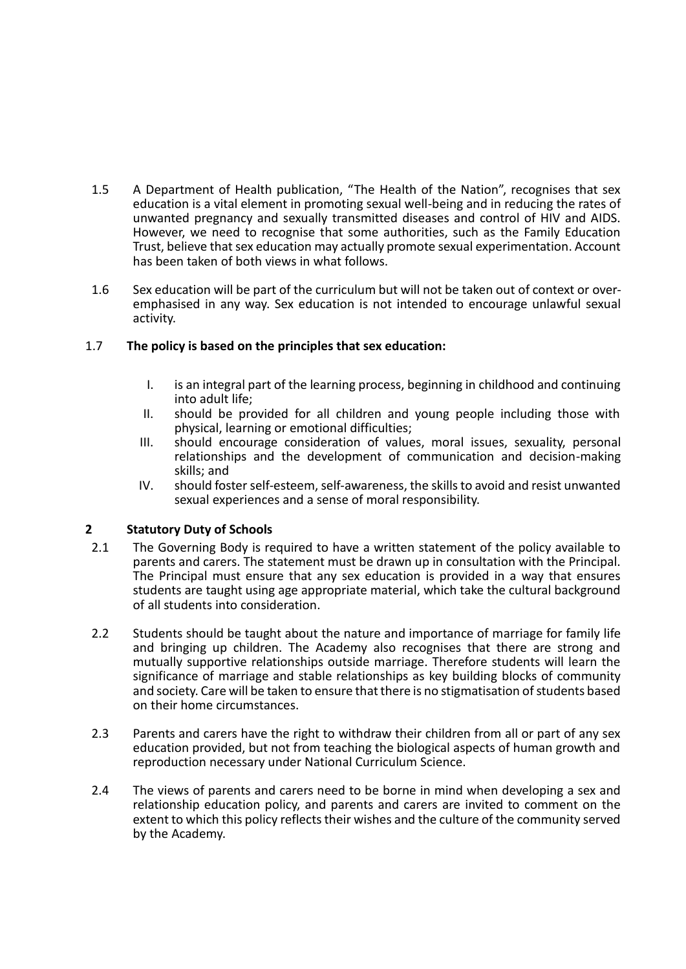- 1.5 A Department of Health publication, "The Health of the Nation", recognises that sex education is a vital element in promoting sexual well-being and in reducing the rates of unwanted pregnancy and sexually transmitted diseases and control of HIV and AIDS. However, we need to recognise that some authorities, such as the Family Education Trust, believe that sex education may actually promote sexual experimentation. Account has been taken of both views in what follows.
- 1.6 Sex education will be part of the curriculum but will not be taken out of context or overemphasised in any way. Sex education is not intended to encourage unlawful sexual activity.

# 1.7 **The policy is based on the principles that sex education:**

- I. is an integral part of the learning process, beginning in childhood and continuing into adult life;
- II. should be provided for all children and young people including those with physical, learning or emotional difficulties;
- III. should encourage consideration of values, moral issues, sexuality, personal relationships and the development of communication and decision-making skills; and
- IV. should foster self-esteem, self-awareness, the skills to avoid and resist unwanted sexual experiences and a sense of moral responsibility.

# **2 Statutory Duty of Schools**

- 2.1 The Governing Body is required to have a written statement of the policy available to parents and carers. The statement must be drawn up in consultation with the Principal. The Principal must ensure that any sex education is provided in a way that ensures students are taught using age appropriate material, which take the cultural background of all students into consideration.
- 2.2 Students should be taught about the nature and importance of marriage for family life and bringing up children. The Academy also recognises that there are strong and mutually supportive relationships outside marriage. Therefore students will learn the significance of marriage and stable relationships as key building blocks of community and society. Care will be taken to ensure that there is no stigmatisation of students based on their home circumstances.
- 2.3 Parents and carers have the right to withdraw their children from all or part of any sex education provided, but not from teaching the biological aspects of human growth and reproduction necessary under National Curriculum Science.
- 2.4 The views of parents and carers need to be borne in mind when developing a sex and relationship education policy, and parents and carers are invited to comment on the extent to which this policy reflects their wishes and the culture of the community served by the Academy.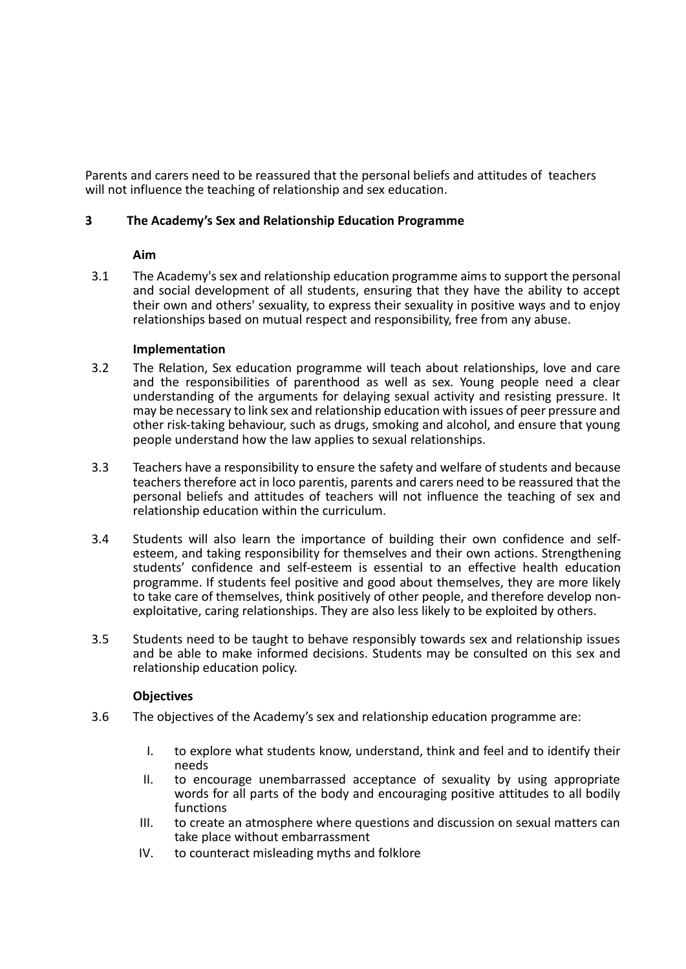Parents and carers need to be reassured that the personal beliefs and attitudes of teachers will not influence the teaching of relationship and sex education.

# **3 The Academy's Sex and Relationship Education Programme**

### **Aim**

3.1 The Academy's sex and relationship education programme aims to support the personal and social development of all students, ensuring that they have the ability to accept their own and others' sexuality, to express their sexuality in positive ways and to enjoy relationships based on mutual respect and responsibility, free from any abuse.

### **Implementation**

- 3.2 The Relation, Sex education programme will teach about relationships, love and care and the responsibilities of parenthood as well as sex. Young people need a clear understanding of the arguments for delaying sexual activity and resisting pressure. It may be necessary to link sex and relationship education with issues of peer pressure and other risk-taking behaviour, such as drugs, smoking and alcohol, and ensure that young people understand how the law applies to sexual relationships.
- 3.3 Teachers have a responsibility to ensure the safety and welfare of students and because teachers therefore act in loco parentis, parents and carers need to be reassured that the personal beliefs and attitudes of teachers will not influence the teaching of sex and relationship education within the curriculum.
- 3.4 Students will also learn the importance of building their own confidence and selfesteem, and taking responsibility for themselves and their own actions. Strengthening students' confidence and self-esteem is essential to an effective health education programme. If students feel positive and good about themselves, they are more likely to take care of themselves, think positively of other people, and therefore develop nonexploitative, caring relationships. They are also less likely to be exploited by others.
- 3.5 Students need to be taught to behave responsibly towards sex and relationship issues and be able to make informed decisions. Students may be consulted on this sex and relationship education policy.

# **Objectives**

- 3.6 The objectives of the Academy's sex and relationship education programme are:
	- I. to explore what students know, understand, think and feel and to identify their needs
	- II. to encourage unembarrassed acceptance of sexuality by using appropriate words for all parts of the body and encouraging positive attitudes to all bodily functions
	- III. to create an atmosphere where questions and discussion on sexual matters can take place without embarrassment
	- IV. to counteract misleading myths and folklore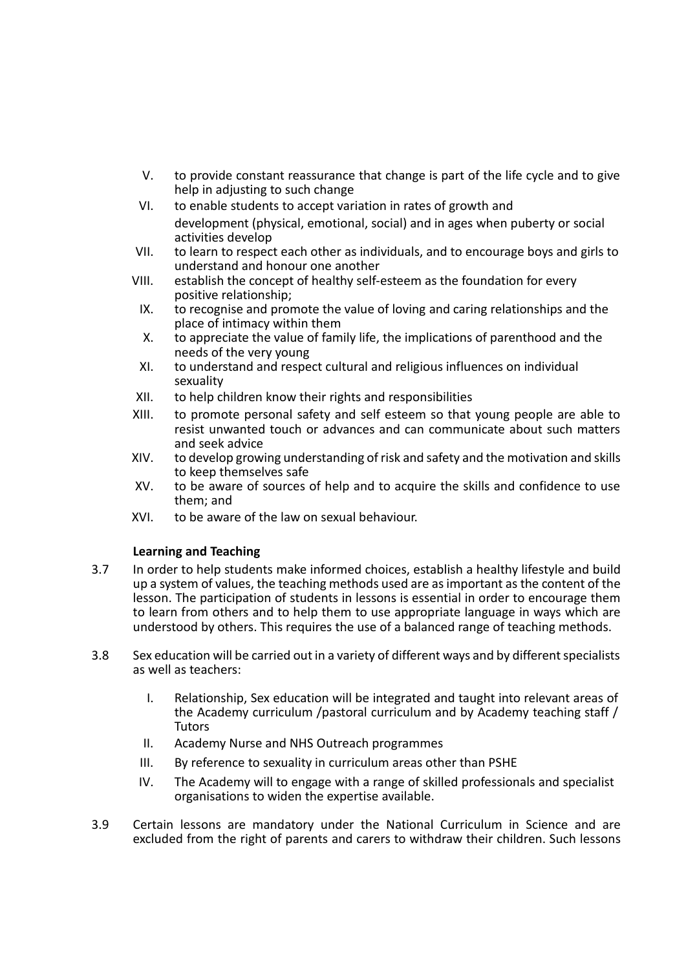- V. to provide constant reassurance that change is part of the life cycle and to give help in adjusting to such change
- VI. to enable students to accept variation in rates of growth and development (physical, emotional, social) and in ages when puberty or social activities develop
- VII. to learn to respect each other as individuals, and to encourage boys and girls to understand and honour one another
- VIII. establish the concept of healthy self-esteem as the foundation for every positive relationship;
- IX. to recognise and promote the value of loving and caring relationships and the place of intimacy within them
- X. to appreciate the value of family life, the implications of parenthood and the needs of the very young
- XI. to understand and respect cultural and religious influences on individual sexuality
- XII. to help children know their rights and responsibilities
- XIII. to promote personal safety and self esteem so that young people are able to resist unwanted touch or advances and can communicate about such matters and seek advice
- XIV. to develop growing understanding of risk and safety and the motivation and skills to keep themselves safe
- XV. to be aware of sources of help and to acquire the skills and confidence to use them; and
- XVI. to be aware of the law on sexual behaviour.

# **Learning and Teaching**

- 3.7 In order to help students make informed choices, establish a healthy lifestyle and build up a system of values, the teaching methods used are as important as the content of the lesson. The participation of students in lessons is essential in order to encourage them to learn from others and to help them to use appropriate language in ways which are understood by others. This requires the use of a balanced range of teaching methods.
- 3.8 Sex education will be carried out in a variety of different ways and by different specialists as well as teachers:
	- I. Relationship, Sex education will be integrated and taught into relevant areas of the Academy curriculum /pastoral curriculum and by Academy teaching staff / **Tutors**
	- II. Academy Nurse and NHS Outreach programmes
	- III. By reference to sexuality in curriculum areas other than PSHE
	- IV. The Academy will to engage with a range of skilled professionals and specialist organisations to widen the expertise available.
- 3.9 Certain lessons are mandatory under the National Curriculum in Science and are excluded from the right of parents and carers to withdraw their children. Such lessons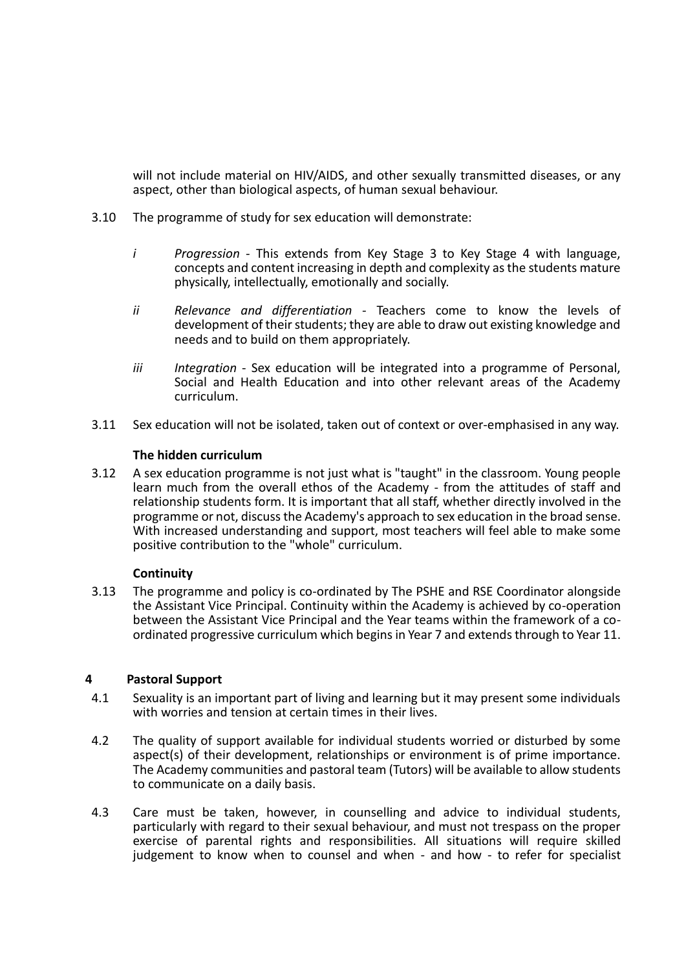will not include material on HIV/AIDS, and other sexually transmitted diseases, or any aspect, other than biological aspects, of human sexual behaviour.

- 3.10 The programme of study for sex education will demonstrate:
	- *i Progression -* This extends from Key Stage 3 to Key Stage 4 with language, concepts and content increasing in depth and complexity as the students mature physically, intellectually, emotionally and socially.
	- *ii Relevance and differentiation -* Teachers come to know the levels of development of their students; they are able to draw out existing knowledge and needs and to build on them appropriately.
	- *iii Integration*  Sex education will be integrated into a programme of Personal, Social and Health Education and into other relevant areas of the Academy curriculum.
- 3.11 Sex education will not be isolated, taken out of context or over-emphasised in any way.

# **The hidden curriculum**

3.12 A sex education programme is not just what is "taught" in the classroom. Young people learn much from the overall ethos of the Academy - from the attitudes of staff and relationship students form. It is important that all staff, whether directly involved in the programme or not, discuss the Academy's approach to sex education in the broad sense. With increased understanding and support, most teachers will feel able to make some positive contribution to the "whole" curriculum.

# **Continuity**

3.13 The programme and policy is co-ordinated by The PSHE and RSE Coordinator alongside the Assistant Vice Principal. Continuity within the Academy is achieved by co-operation between the Assistant Vice Principal and the Year teams within the framework of a coordinated progressive curriculum which begins in Year 7 and extends through to Year 11.

# **4 Pastoral Support**

- 4.1 Sexuality is an important part of living and learning but it may present some individuals with worries and tension at certain times in their lives.
- 4.2 The quality of support available for individual students worried or disturbed by some aspect(s) of their development, relationships or environment is of prime importance. The Academy communities and pastoral team (Tutors) will be available to allow students to communicate on a daily basis.
- 4.3 Care must be taken, however, in counselling and advice to individual students, particularly with regard to their sexual behaviour, and must not trespass on the proper exercise of parental rights and responsibilities. All situations will require skilled judgement to know when to counsel and when - and how - to refer for specialist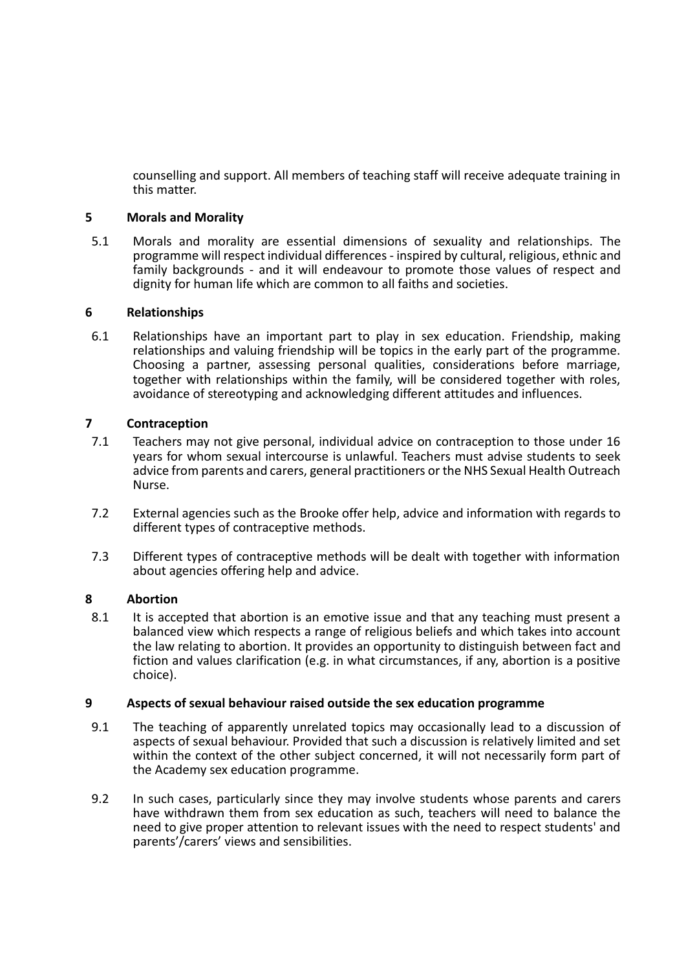counselling and support. All members of teaching staff will receive adequate training in this matter.

# **5 Morals and Morality**

5.1 Morals and morality are essential dimensions of sexuality and relationships. The programme will respect individual differences - inspired by cultural, religious, ethnic and family backgrounds - and it will endeavour to promote those values of respect and dignity for human life which are common to all faiths and societies.

# **6 Relationships**

6.1 Relationships have an important part to play in sex education. Friendship, making relationships and valuing friendship will be topics in the early part of the programme. Choosing a partner, assessing personal qualities, considerations before marriage, together with relationships within the family, will be considered together with roles, avoidance of stereotyping and acknowledging different attitudes and influences.

# **7 Contraception**

- 7.1 Teachers may not give personal, individual advice on contraception to those under 16 years for whom sexual intercourse is unlawful. Teachers must advise students to seek advice from parents and carers, general practitioners or the NHS Sexual Health Outreach Nurse.
- 7.2 External agencies such as the Brooke offer help, advice and information with regards to different types of contraceptive methods.
- 7.3 Different types of contraceptive methods will be dealt with together with information about agencies offering help and advice.

# **8 Abortion**

8.1 It is accepted that abortion is an emotive issue and that any teaching must present a balanced view which respects a range of religious beliefs and which takes into account the law relating to abortion. It provides an opportunity to distinguish between fact and fiction and values clarification (e.g. in what circumstances, if any, abortion is a positive choice).

# **9 Aspects of sexual behaviour raised outside the sex education programme**

- 9.1 The teaching of apparently unrelated topics may occasionally lead to a discussion of aspects of sexual behaviour. Provided that such a discussion is relatively limited and set within the context of the other subject concerned, it will not necessarily form part of the Academy sex education programme.
- 9.2 In such cases, particularly since they may involve students whose parents and carers have withdrawn them from sex education as such, teachers will need to balance the need to give proper attention to relevant issues with the need to respect students' and parents'/carers' views and sensibilities.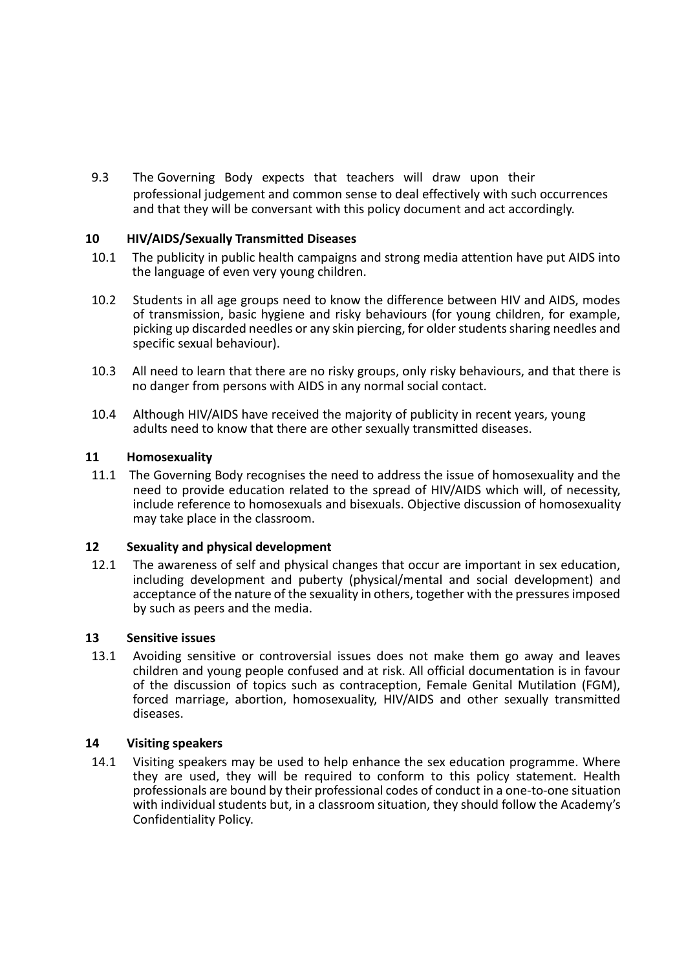9.3 The Governing Body expects that teachers will draw upon their professional judgement and common sense to deal effectively with such occurrences and that they will be conversant with this policy document and act accordingly.

# **10 HIV/AIDS/Sexually Transmitted Diseases**

- 10.1 The publicity in public health campaigns and strong media attention have put AIDS into the language of even very young children.
- 10.2 Students in all age groups need to know the difference between HIV and AIDS, modes of transmission, basic hygiene and risky behaviours (for young children, for example, picking up discarded needles or any skin piercing, for older students sharing needles and specific sexual behaviour).
- 10.3 All need to learn that there are no risky groups, only risky behaviours, and that there is no danger from persons with AIDS in any normal social contact.
- 10.4 Although HIV/AIDS have received the majority of publicity in recent years, young adults need to know that there are other sexually transmitted diseases.

#### **11 Homosexuality**

11.1 The Governing Body recognises the need to address the issue of homosexuality and the need to provide education related to the spread of HIV/AIDS which will, of necessity, include reference to homosexuals and bisexuals. Objective discussion of homosexuality may take place in the classroom.

#### **12 Sexuality and physical development**

12.1 The awareness of self and physical changes that occur are important in sex education, including development and puberty (physical/mental and social development) and acceptance of the nature of the sexuality in others, together with the pressures imposed by such as peers and the media.

#### **13 Sensitive issues**

13.1 Avoiding sensitive or controversial issues does not make them go away and leaves children and young people confused and at risk. All official documentation is in favour of the discussion of topics such as contraception, Female Genital Mutilation (FGM), forced marriage, abortion, homosexuality, HIV/AIDS and other sexually transmitted diseases.

#### **14 Visiting speakers**

14.1 Visiting speakers may be used to help enhance the sex education programme. Where they are used, they will be required to conform to this policy statement. Health professionals are bound by their professional codes of conduct in a one-to-one situation with individual students but, in a classroom situation, they should follow the Academy's Confidentiality Policy.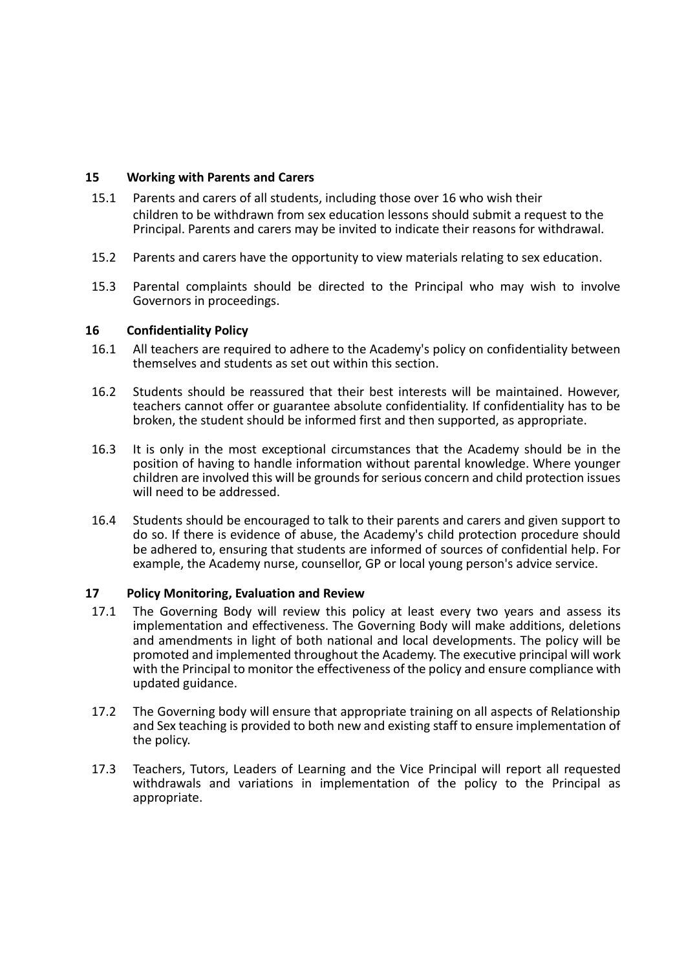# **15 Working with Parents and Carers**

- 15.1 Parents and carers of all students, including those over 16 who wish their children to be withdrawn from sex education lessons should submit a request to the Principal. Parents and carers may be invited to indicate their reasons for withdrawal.
- 15.2 Parents and carers have the opportunity to view materials relating to sex education.
- 15.3 Parental complaints should be directed to the Principal who may wish to involve Governors in proceedings.

# **16 Confidentiality Policy**

- 16.1 All teachers are required to adhere to the Academy's policy on confidentiality between themselves and students as set out within this section.
- 16.2 Students should be reassured that their best interests will be maintained. However, teachers cannot offer or guarantee absolute confidentiality. If confidentiality has to be broken, the student should be informed first and then supported, as appropriate.
- 16.3 It is only in the most exceptional circumstances that the Academy should be in the position of having to handle information without parental knowledge. Where younger children are involved this will be grounds for serious concern and child protection issues will need to be addressed.
- 16.4 Students should be encouraged to talk to their parents and carers and given support to do so. If there is evidence of abuse, the Academy's child protection procedure should be adhered to, ensuring that students are informed of sources of confidential help. For example, the Academy nurse, counsellor, GP or local young person's advice service.

# **17 Policy Monitoring, Evaluation and Review**

- 17.1 The Governing Body will review this policy at least every two years and assess its implementation and effectiveness. The Governing Body will make additions, deletions and amendments in light of both national and local developments. The policy will be promoted and implemented throughout the Academy. The executive principal will work with the Principal to monitor the effectiveness of the policy and ensure compliance with updated guidance.
- 17.2 The Governing body will ensure that appropriate training on all aspects of Relationship and Sex teaching is provided to both new and existing staff to ensure implementation of the policy.
- 17.3 Teachers, Tutors, Leaders of Learning and the Vice Principal will report all requested withdrawals and variations in implementation of the policy to the Principal as appropriate.